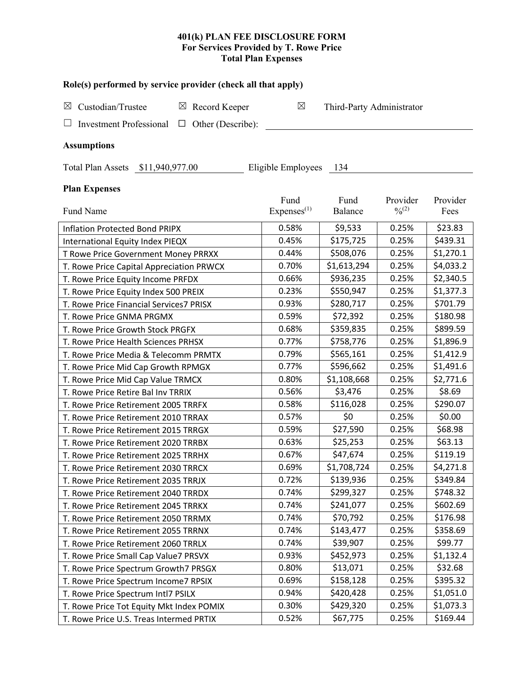# **401(k) PLAN FEE DISCLOSURE FORM For Services Provided by T. Rowe Price Total Plan Expenses**

| Role(s) performed by service provider (check all that apply)   |                                |                           |                         |                  |  |  |  |
|----------------------------------------------------------------|--------------------------------|---------------------------|-------------------------|------------------|--|--|--|
| Custodian/Trustee<br>$\boxtimes$ Record Keeper<br>$\boxtimes$  | $\boxtimes$                    | Third-Party Administrator |                         |                  |  |  |  |
| Other (Describe):<br><b>Investment Professional</b><br>$\Box$  |                                |                           |                         |                  |  |  |  |
| <b>Assumptions</b>                                             |                                |                           |                         |                  |  |  |  |
|                                                                |                                |                           |                         |                  |  |  |  |
| Total Plan Assets \$11,940,977.00<br>Eligible Employees<br>134 |                                |                           |                         |                  |  |  |  |
| <b>Plan Expenses</b>                                           |                                |                           |                         |                  |  |  |  |
| Fund Name                                                      | Fund<br>Express <sup>(1)</sup> | Fund<br>Balance           | Provider<br>$0/0^{(2)}$ | Provider<br>Fees |  |  |  |
| <b>Inflation Protected Bond PRIPX</b>                          | 0.58%                          | \$9,533                   | 0.25%                   | \$23.83          |  |  |  |
| International Equity Index PIEQX                               | 0.45%                          | \$175,725                 | 0.25%                   | \$439.31         |  |  |  |
| T Rowe Price Government Money PRRXX                            | 0.44%                          | \$508,076                 | 0.25%                   | \$1,270.1        |  |  |  |
| T. Rowe Price Capital Appreciation PRWCX                       | 0.70%                          | \$1,613,294               | 0.25%                   | \$4,033.2        |  |  |  |
| T. Rowe Price Equity Income PRFDX                              | 0.66%                          | \$936,235                 | 0.25%                   | \$2,340.5        |  |  |  |
| T. Rowe Price Equity Index 500 PREIX                           | 0.23%                          | \$550,947                 | 0.25%                   | \$1,377.3        |  |  |  |
| T. Rowe Price Financial Services7 PRISX                        | 0.93%                          | \$280,717                 | 0.25%                   | \$701.79         |  |  |  |
| T. Rowe Price GNMA PRGMX                                       | 0.59%                          | \$72,392                  | 0.25%                   | \$180.98         |  |  |  |
| T. Rowe Price Growth Stock PRGFX                               | 0.68%                          | \$359,835                 | 0.25%                   | \$899.59         |  |  |  |
| T. Rowe Price Health Sciences PRHSX                            | 0.77%                          | \$758,776                 | 0.25%                   | \$1,896.9        |  |  |  |
| T. Rowe Price Media & Telecomm PRMTX                           | 0.79%                          | \$565,161                 | 0.25%                   | \$1,412.9        |  |  |  |
| T. Rowe Price Mid Cap Growth RPMGX                             | 0.77%                          | \$596,662                 | 0.25%                   | \$1,491.6        |  |  |  |
| T. Rowe Price Mid Cap Value TRMCX                              | 0.80%                          | \$1,108,668               | 0.25%                   | \$2,771.6        |  |  |  |
| T. Rowe Price Retire Bal Inv TRRIX                             | 0.56%                          | \$3,476                   | 0.25%                   | \$8.69           |  |  |  |
| T. Rowe Price Retirement 2005 TRRFX                            | 0.58%                          | \$116,028                 | 0.25%                   | \$290.07         |  |  |  |
| T. Rowe Price Retirement 2010 TRRAX                            | 0.57%                          | \$0                       | 0.25%                   | \$0.00           |  |  |  |
| T. Rowe Price Retirement 2015 TRRGX                            | 0.59%                          | \$27,590                  | 0.25%                   | \$68.98          |  |  |  |
| T. Rowe Price Retirement 2020 TRRBX                            | 0.63%                          | \$25,253                  | 0.25%                   | \$63.13          |  |  |  |
| T. Rowe Price Retirement 2025 TRRHX                            | 0.67%                          | \$47,674                  | 0.25%                   | \$119.19         |  |  |  |
| T. Rowe Price Retirement 2030 TRRCX                            | 0.69%                          | \$1,708,724               | 0.25%                   | \$4,271.8        |  |  |  |
| T. Rowe Price Retirement 2035 TRRJX                            | 0.72%                          | \$139,936                 | 0.25%                   | \$349.84         |  |  |  |
| T. Rowe Price Retirement 2040 TRRDX                            | 0.74%                          | \$299,327                 | 0.25%                   | \$748.32         |  |  |  |
| T. Rowe Price Retirement 2045 TRRKX                            | 0.74%                          | \$241,077                 | 0.25%                   | \$602.69         |  |  |  |
| T. Rowe Price Retirement 2050 TRRMX                            | 0.74%                          | \$70,792                  | 0.25%                   | \$176.98         |  |  |  |
| T. Rowe Price Retirement 2055 TRRNX                            | 0.74%                          | \$143,477                 | 0.25%                   | \$358.69         |  |  |  |
| T. Rowe Price Retirement 2060 TRRLX                            | 0.74%                          | \$39,907                  | 0.25%                   | \$99.77          |  |  |  |
| T. Rowe Price Small Cap Value7 PRSVX                           | 0.93%                          | \$452,973                 | 0.25%                   | \$1,132.4        |  |  |  |
| T. Rowe Price Spectrum Growth7 PRSGX                           | 0.80%                          | \$13,071                  | 0.25%                   | \$32.68          |  |  |  |
| T. Rowe Price Spectrum Income7 RPSIX                           | 0.69%                          | \$158,128                 | 0.25%                   | \$395.32         |  |  |  |
| T. Rowe Price Spectrum Intl7 PSILX                             | 0.94%                          | \$420,428                 | 0.25%                   | \$1,051.0        |  |  |  |
| T. Rowe Price Tot Equity Mkt Index POMIX                       | 0.30%                          | \$429,320                 | 0.25%                   | \$1,073.3        |  |  |  |
| T. Rowe Price U.S. Treas Intermed PRTIX                        | 0.52%                          | \$67,775                  | 0.25%                   | \$169.44         |  |  |  |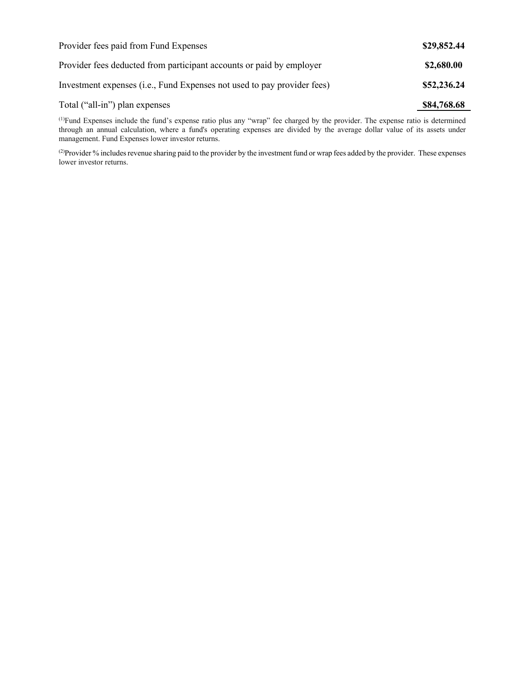| Provider fees paid from Fund Expenses                                   | \$29,852.44 |
|-------------------------------------------------------------------------|-------------|
| Provider fees deducted from participant accounts or paid by employer    | \$2,680.00  |
| Investment expenses (i.e., Fund Expenses not used to pay provider fees) | \$52,236.24 |
| Total ("all-in") plan expenses                                          | \$84,768.68 |

(1) Fund Expenses include the fund's expense ratio plus any "wrap" fee charged by the provider. The expense ratio is determined through an annual calculation, where a fund's operating expenses are divided by the average dollar value of its assets under management. Fund Expenses lower investor returns.

(2) Provider % includes revenue sharing paid to the provider by the investment fund or wrap fees added by the provider. These expenses lower investor returns.